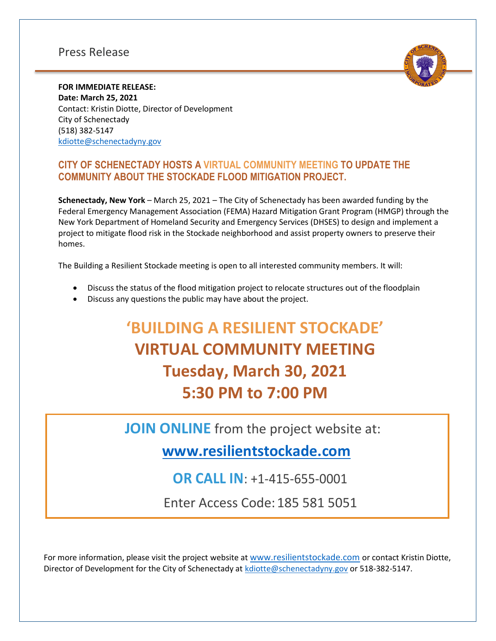## Press Release



**FOR IMMEDIATE RELEASE: Date: March 25, 2021** Contact: Kristin Diotte, Director of Development City of Schenectady (518) 382-5147 [kdiotte@schenectadyny.gov](mailto:kdiotte@schenectadyny.gov)

## **CITY OF SCHENECTADY HOSTS A VIRTUAL COMMUNITY MEETING TO UPDATE THE COMMUNITY ABOUT THE STOCKADE FLOOD MITIGATION PROJECT.**

**Schenectady, New York** – March 25, 2021 – The City of Schenectady has been awarded funding by the Federal Emergency Management Association (FEMA) Hazard Mitigation Grant Program (HMGP) through the New York Department of Homeland Security and Emergency Services (DHSES) to design and implement a project to mitigate flood risk in the Stockade neighborhood and assist property owners to preserve their homes.

The Building a Resilient Stockade meeting is open to all interested community members. It will:

- Discuss the status of the flood mitigation project to relocate structures out of the floodplain
- Discuss any questions the public may have about the project.

## **'BUILDING A RESILIENT STOCKADE' VIRTUAL COMMUNITY MEETING Tuesday, March 30, 2021 5:30 PM to 7:00 PM**

**JOIN ONLINE** from the project website at:

**[www.resilientstockade.com](http://www.resilientstockade.com/)**

**OR CALL IN**: +1-415-655-0001

Enter Access Code:185 581 5051

For more information, please visit the project website at www.resilientstockade.com or contact Kristin Diotte, Director of Development for the City of Schenectady at [kdiotte@schenectadyny.gov](mailto:kdiotte@schenectadyny.gov) or 518-382-5147.